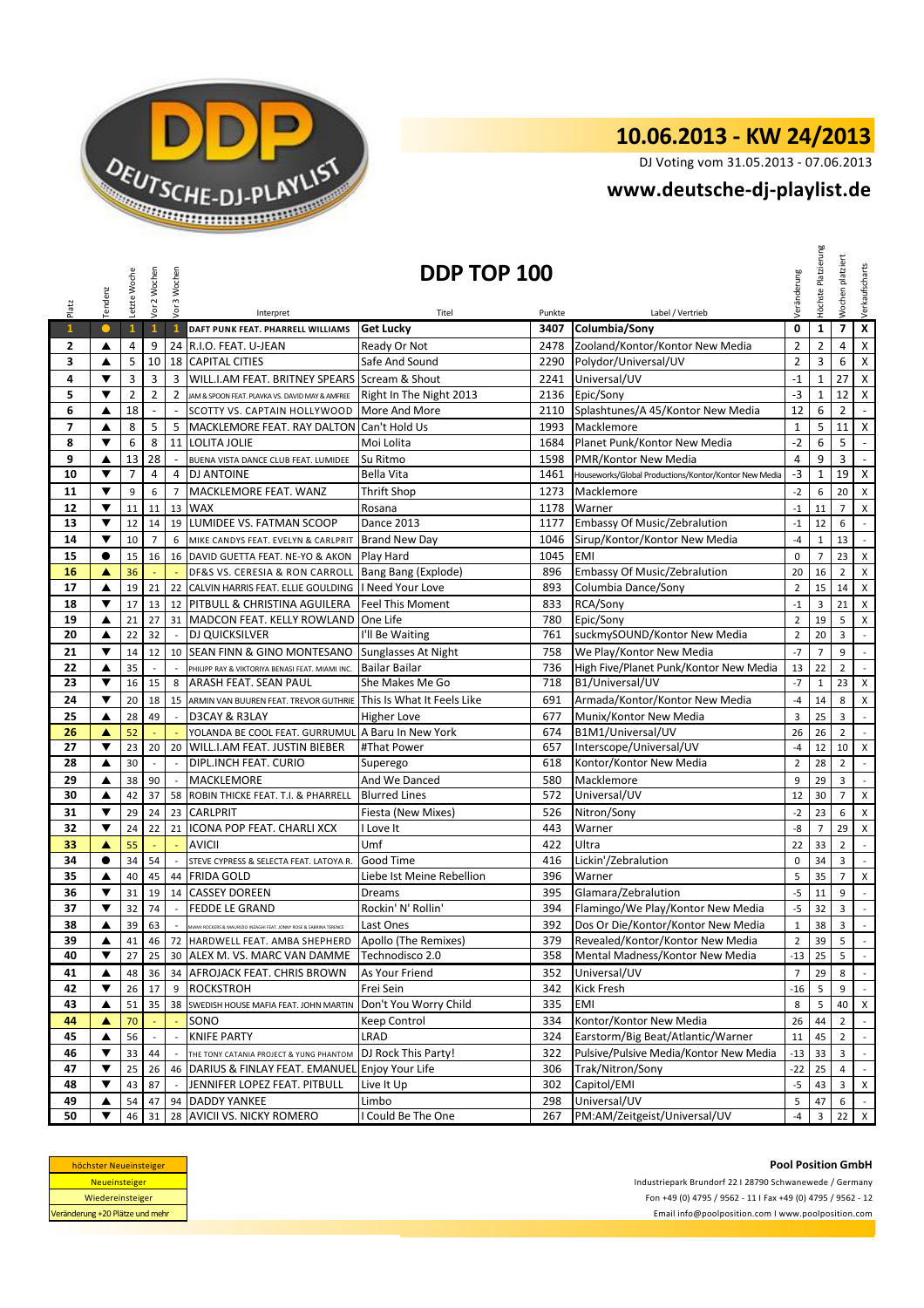

## **10.06.2013 - KW 24/2013**

DJ Voting vom 31.05.2013 - 07.06.2013

## **<www.deutsche-dj-playlist.de>**

| Platz                    | Tendenz                   | Letzte Woche   | Vor 2 Wochen   | Vor 3 Wochen                |                                                                                             | DDP TOP 100                        |            |                                                                             | Veränderung             | Höchste Platzierung | platziert<br>Wochen | Verkaufscharts                                          |
|--------------------------|---------------------------|----------------|----------------|-----------------------------|---------------------------------------------------------------------------------------------|------------------------------------|------------|-----------------------------------------------------------------------------|-------------------------|---------------------|---------------------|---------------------------------------------------------|
|                          |                           |                |                |                             | Interpret                                                                                   | Titel                              | Punkte     | Label / Vertrieb                                                            |                         |                     |                     |                                                         |
| $\mathbf{1}$             | $\bullet$                 | $\mathbf{1}$   | $\mathbf{1}$   | $\mathbf{1}$                | DAFT PUNK FEAT. PHARRELL WILLIAMS                                                           | <b>Get Lucky</b>                   | 3407       | Columbia/Sony                                                               | 0                       | $\mathbf{1}$        | 7                   | $\overline{\mathbf{x}}$                                 |
| 2                        | ▲                         | 4              | 9              | 24                          | R.I.O. FEAT. U-JEAN                                                                         | Ready Or Not                       | 2478       | Zooland/Kontor/Kontor New Media                                             | $\overline{2}$          | $\mathbf{2}$        | 4                   | $\pmb{\mathsf{X}}$                                      |
| 3                        | ▲                         | 5              | 10             |                             | 18 CAPITAL CITIES                                                                           | Safe And Sound                     | 2290       | Polydor/Universal/UV                                                        | $\overline{2}$          | 3                   | 6                   | $\pmb{\times}$                                          |
| 4                        | ▼                         | 3              | 3              | 3                           | WILL.I.AM FEAT. BRITNEY SPEARS Scream & Shout                                               |                                    | 2241       | Universal/UV                                                                | $-1$                    | $\mathbf 1$         | 27                  | $\pmb{\mathsf{X}}$                                      |
| 5                        | ▼                         | $\overline{2}$ | $\overline{2}$ | $\overline{2}$              | JAM & SPOON FEAT. PLAVKA VS. DAVID MAY & AMFREE                                             | Right In The Night 2013            | 2136       | Epic/Sony                                                                   | $-3$                    | $\mathbf 1$         | 12                  | $\pmb{\mathsf{X}}$                                      |
| 6                        | ▲                         | 18             | ÷,             | $\overline{\phantom{a}}$    | SCOTTY VS. CAPTAIN HOLLYWOOD                                                                | More And More                      | 2110       | Splashtunes/A 45/Kontor New Media                                           | 12                      | 6                   | $\overline{2}$      | $\omega$                                                |
| $\overline{\phantom{a}}$ | ▲                         | 8              | 5              | 5                           | MACKLEMORE FEAT. RAY DALTON                                                                 | Can't Hold Us                      | 1993       | Macklemore                                                                  | $\mathbf{1}$            | 5                   | 11                  | $\pmb{\times}$                                          |
| 8                        | ▼                         | 6              | 8              |                             | 11 LOLITA JOLIE                                                                             | Moi Lolita                         | 1684       | Planet Punk/Kontor New Media                                                | $-2$                    | 6                   | 5                   | $\blacksquare$                                          |
| 9                        | ▲                         | 13             | 28             | $\omega$                    | BUENA VISTA DANCE CLUB FEAT. LUMIDEE                                                        | Su Ritmo                           | 1598       | PMR/Kontor New Media                                                        | $\overline{4}$          | 9                   | 3                   | $\omega$                                                |
| 10                       | ▼                         | $\overline{7}$ | 4              | $\overline{4}$              | <b>DJ ANTOINE</b>                                                                           | <b>Bella Vita</b>                  | 1461       | Houseworks/Global Productions/Kontor/Kontor New Media                       | $-3$                    | 1                   | 19                  | $\mathsf{x}$                                            |
| 11                       | $\blacktriangledown$      | 9              | 6              | $\overline{7}$              | MACKLEMORE FEAT. WANZ                                                                       | Thrift Shop                        | 1273       | Macklemore                                                                  | $-2$                    | 6                   | 20                  | $\boldsymbol{\mathsf{X}}$                               |
| 12                       | $\blacktriangledown$      | 11             | 11             | 13                          | <b>WAX</b>                                                                                  | Rosana                             | 1178       | Warner                                                                      | $-1$                    | 11                  | $\overline{7}$      | X                                                       |
| 13                       | ▼                         | 12             | 14             | 19                          | LUMIDEE VS. FATMAN SCOOP                                                                    | <b>Dance 2013</b>                  | 1177       | <b>Embassy Of Music/Zebralution</b>                                         | $-1$                    | 12                  | 6                   | $\omega$                                                |
| 14                       | $\blacktriangledown$      | 10             | $\overline{7}$ | 6                           | MIKE CANDYS FEAT. EVELYN & CARLPRIT                                                         | <b>Brand New Day</b>               | 1046       | Sirup/Kontor/Kontor New Media                                               | $-4$                    | $\mathbf 1$         | 13                  | $\mathbb{Z}^2$                                          |
| 15                       | $\bullet$                 | 15             | 16             |                             | 16 DAVID GUETTA FEAT. NE-YO & AKON                                                          | Play Hard                          | 1045       | <b>EMI</b>                                                                  | $\mathbf 0$             | $\overline{7}$      | 23                  | X                                                       |
| 16                       | ▲                         | 36             |                |                             | DF&S VS. CERESIA & RON CARROLL                                                              | Bang Bang (Explode)                | 896        | <b>Embassy Of Music/Zebralution</b>                                         | 20                      | 16                  | $\overline{2}$      | $\pmb{\mathsf{X}}$                                      |
| 17                       | ▲                         | 19             | 21             | 22                          | CALVIN HARRIS FEAT. ELLIE GOULDING                                                          | I Need Your Love                   | 893        | Columbia Dance/Sony                                                         | $\mathbf 2$             | 15                  | 14                  | X                                                       |
| 18                       | $\blacktriangledown$      | 17             | 13             |                             | 12 PITBULL & CHRISTINA AGUILERA                                                             | <b>Feel This Moment</b>            | 833        | RCA/Sony                                                                    | $-1$                    | 3                   | 21                  | $\pmb{\times}$                                          |
| 19                       | ▲                         | 21             | 27             |                             | 31 MADCON FEAT. KELLY ROWLAND                                                               | One Life                           | 780        | Epic/Sony                                                                   | $\overline{2}$          | 19                  | 5                   | $\pmb{\mathsf{x}}$                                      |
| 20                       | ▲                         | 22             | 32             | $\overline{\phantom{a}}$    | <b>DJ QUICKSILVER</b>                                                                       | I'll Be Waiting                    | 761        | suckmySOUND/Kontor New Media                                                | $\overline{2}$          | 20                  | 3                   | $\mathcal{L}_{\mathcal{A}}$                             |
| 21                       | ▼                         | 14             | 12             | 10                          | SEAN FINN & GINO MONTESANO Sunglasses At Night                                              |                                    | 758        | We Play/Kontor New Media                                                    | $-7$                    | $\overline{7}$      | 9                   | $\mathbb{Z}^2$                                          |
| 22                       | ▲                         | 35             |                |                             | PHILIPP RAY & VIKTORIYA BENASI FEAT. MIAMI INC.                                             | <b>Bailar Bailar</b>               | 736        | High Five/Planet Punk/Kontor New Media                                      | 13                      | 22                  | $\overline{2}$      | $\sim$                                                  |
| 23                       | ▼                         | 16             | 15             | 8                           | ARASH FEAT. SEAN PAUL                                                                       | She Makes Me Go                    | 718        | B1/Universal/UV                                                             | $-7$                    | $\mathbf{1}$        | 23                  | $\mathsf X$                                             |
| 24                       | $\blacktriangledown$      | 20             | 18             | 15                          | ARMIN VAN BUUREN FEAT. TREVOR GUTHRIE                                                       | This Is What It Feels Like         | 691        | Armada/Kontor/Kontor New Media                                              | $-4$                    | 14                  | 8                   | $\pmb{\mathsf{X}}$                                      |
| 25                       | ▲                         | 28             | 49             | $\mathcal{L}_{\mathcal{A}}$ | D3CAY & R3LAY                                                                               | Higher Love                        | 677        | Munix/Kontor New Media                                                      | 3                       | 25                  | 3                   | $\sim$                                                  |
| 26                       | ▲                         | 52             |                |                             | YOLANDA BE COOL FEAT. GURRUMUL A Baru In New York                                           |                                    | 674        | B1M1/Universal/UV                                                           | 26                      | 26                  | $\overline{2}$      | $\overline{\phantom{a}}$                                |
| 27                       | ▼                         | 23             | 20             | 20                          | WILL.I.AM FEAT. JUSTIN BIEBER                                                               | #That Power                        | 657        | Interscope/Universal/UV                                                     | $-4$                    | 12                  | 10                  | X                                                       |
| 28                       | ▲                         | 30             |                |                             | DIPL.INCH FEAT. CURIO                                                                       | Superego                           | 618        | Kontor/Kontor New Media                                                     | $\overline{2}$          | 28                  | $\overline{2}$      | $\mathbb{L}$                                            |
| 29                       | ▲                         | 38             | 90             | $\mathcal{L}_{\mathcal{A}}$ | <b>MACKLEMORE</b>                                                                           | And We Danced                      | 580        | Macklemore                                                                  | 9                       | 29                  | 3                   | $\mathbb{Z}^2$                                          |
| 30                       | ▲                         | 42             | 37             | 58                          | ROBIN THICKE FEAT. T.I. & PHARRELL                                                          | <b>Blurred Lines</b>               | 572        | Universal/UV                                                                | 12                      | 30                  | $\overline{7}$      | $\pmb{\mathsf{X}}$                                      |
| 31                       | ▼                         | 29             | 24             | 23                          | <b>CARLPRIT</b>                                                                             | Fiesta (New Mixes)                 | 526        | Nitron/Sony                                                                 | $-2$                    | 23                  | 6                   | X                                                       |
| 32                       | $\blacktriangledown$      | 24             | 22             | 21                          | ICONA POP FEAT. CHARLI XCX                                                                  | I Love It                          | 443        | Warner                                                                      | $\textnormal{-}8$       | $\overline{7}$      | 29                  | X                                                       |
| 33                       | ▲                         | 55             |                |                             | <b>AVICII</b>                                                                               | Umf                                | 422        | Ultra                                                                       | 22                      | 33                  | $\overline{2}$      | $\mathbb{Z}^2$                                          |
| 34                       | $\bullet$                 | 34             | 54             | $\sim$                      | STEVE CYPRESS & SELECTA FEAT. LATOYA R.                                                     | Good Time                          | 416        | Lickin'/Zebralution                                                         | $\mathbf 0$             | 34                  | 3                   | $\sim$                                                  |
| 35                       | ▲                         | 40             | 45             | 44                          | <b>FRIDA GOLD</b>                                                                           | Liebe Ist Meine Rebellion          | 396        | Warner                                                                      | 5                       | 35                  | $\overline{7}$      | X                                                       |
| 36                       | ▼                         | 31             | 19             | 14                          | <b>CASSEY DOREEN</b>                                                                        | Dreams                             | 395        | Glamara/Zebralution                                                         | $-5$                    | 11                  | 9                   | $\mathbb{L}$                                            |
| 37                       | ▼                         | 32             | 74             |                             | <b>FEDDE LE GRAND</b>                                                                       | Rockin' N' Rollin'                 | 394        | Flamingo/We Play/Kontor New Media                                           | $-5$                    | 32                  | 3                   | $\mathbb{Z}^2$                                          |
| 38                       | ▲                         | 39             | 63             | $\overline{\phantom{a}}$    | MIAMI ROCKERS & MAURIZIO INZAGHI FEAT. JONNY ROSE & SABRINA TERENCE                         | Last Ones                          | 392        | Dos Or Die/Kontor/Kontor New Media                                          | $\mathbf 1$             | 38                  | 3                   | $\mathbb{Z}^2$                                          |
| 39<br>40                 | ▲<br>$\blacktriangledown$ | 41<br>27       | 25             |                             | 46 72 HARDWELL FEAT. AMBA SHEPHERD<br>30 ALEX M. VS. MARC VAN DAMME Technodisco 2.0         | Apollo (The Remixes)               | 379<br>358 | Revealed/Kontor/Kontor New Media<br>Mental Madness/Kontor New Media         | $\overline{2}$<br>$-13$ | 39<br>25            | 5<br>5              | $\overline{\phantom{a}}$<br>$\mathcal{L}_{\mathcal{A}}$ |
|                          |                           |                |                |                             | 34 AFROJACK FEAT. CHRIS BROWN                                                               |                                    |            |                                                                             |                         |                     |                     |                                                         |
| 41                       | ▲<br>▼                    | 48             | 36             | 9                           | <b>ROCKSTROH</b>                                                                            | As Your Friend                     | 352        | Universal/UV                                                                | $\overline{7}$          | 29                  | 8                   | $\sim$                                                  |
| 42<br>43                 |                           | 26<br>51       | 17             | 38                          | SWEDISH HOUSE MAFIA FEAT. JOHN MARTIN                                                       | Frei Sein<br>Don't You Worry Child | 342<br>335 | Kick Fresh<br><b>EMI</b>                                                    | $-16$                   | 5                   | 9                   | $\sim$                                                  |
|                          | ▲                         |                | 35             |                             | SONO                                                                                        | <b>Keep Control</b>                |            | Kontor/Kontor New Media                                                     | 8                       | 5                   | 40                  | $\boldsymbol{\mathsf{X}}$                               |
| 44                       |                           | 70             |                |                             |                                                                                             |                                    | 334        |                                                                             | 26                      | 44                  | 2                   |                                                         |
| 45                       | ▲<br>▼                    | 56             |                |                             | <b>KNIFE PARTY</b>                                                                          | LRAD                               | 324        | Earstorm/Big Beat/Atlantic/Warner<br>Pulsive/Pulsive Media/Kontor New Media | 11                      | 45                  | $\overline{2}$      | $\sim$                                                  |
| 46                       | $\blacktriangledown$      | 33             | 44             |                             | THE TONY CATANIA PROJECT & YUNG PHANTOM<br>46 DARIUS & FINLAY FEAT. EMANUEL Enjoy Your Life | DJ Rock This Party!                | 322        |                                                                             | $-13$                   | 33                  | 3                   | $\sim$                                                  |
| 47                       | ▼                         | 25             | 26             |                             |                                                                                             |                                    | 306        | Trak/Nitron/Sony<br>Capitol/EMI                                             | $-22$                   | 25                  | 4                   | $\sim$                                                  |
| 48                       |                           | 43             | 87             |                             | JENNIFER LOPEZ FEAT. PITBULL<br>94 DADDY YANKEE                                             | Live It Up                         | 302        | Universal/UV                                                                | $-5$                    | 43                  | 3                   | $\mathsf{X}$                                            |
| 49<br>50                 | ▲<br>▼                    | 54<br>46       | 47             |                             | 31 28 AVICII VS. NICKY ROMERO                                                               | Limbo<br>Could Be The One          | 298<br>267 | PM:AM/Zeitgeist/Universal/UV                                                | 5<br>$-4$               | 47<br>3             | 6                   | $\sim$<br>$22 \times$                                   |
|                          |                           |                |                |                             |                                                                                             |                                    |            |                                                                             |                         |                     |                     |                                                         |

| höchster Neueinsteiger          |
|---------------------------------|
| <b>Neueinsteiger</b>            |
| Wiedereinsteiger                |
| Veränderung +20 Plätze und mehr |

**Pool Position GmbH** Industriepark Brundorf 22 I 28790 Schwanewede / Germany Fon +49 (0) 4795 / 9562 - 11 I Fax +49 (0) 4795 / 9562 - 12 <Email info@poolposition.com I www.poolposition.com>